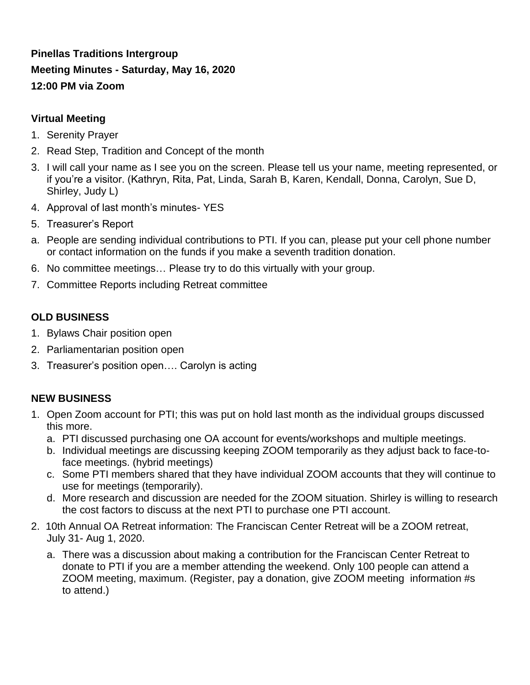# **Pinellas Traditions Intergroup Meeting Minutes - Saturday, May 16, 2020 12:00 PM via Zoom**

#### **Virtual Meeting**

- 1. Serenity Prayer
- 2. Read Step, Tradition and Concept of the month
- 3. I will call your name as I see you on the screen. Please tell us your name, meeting represented, or if you're a visitor. (Kathryn, Rita, Pat, Linda, Sarah B, Karen, Kendall, Donna, Carolyn, Sue D, Shirley, Judy L)
- 4. Approval of last month's minutes- YES
- 5. Treasurer's Report
- a. People are sending individual contributions to PTI. If you can, please put your cell phone number or contact information on the funds if you make a seventh tradition donation.
- 6. No committee meetings… Please try to do this virtually with your group.
- 7. Committee Reports including Retreat committee

#### **OLD BUSINESS**

- 1. Bylaws Chair position open
- 2. Parliamentarian position open
- 3. Treasurer's position open…. Carolyn is acting

### **NEW BUSINESS**

- 1. Open Zoom account for PTI; this was put on hold last month as the individual groups discussed this more.
	- a. PTI discussed purchasing one OA account for events/workshops and multiple meetings.
	- b. Individual meetings are discussing keeping ZOOM temporarily as they adjust back to face-toface meetings. (hybrid meetings)
	- c. Some PTI members shared that they have individual ZOOM accounts that they will continue to use for meetings (temporarily).
	- d. More research and discussion are needed for the ZOOM situation. Shirley is willing to research the cost factors to discuss at the next PTI to purchase one PTI account.
- 2. 10th Annual OA Retreat information: The Franciscan Center Retreat will be a ZOOM retreat, July 31- Aug 1, 2020.
	- a. There was a discussion about making a contribution for the Franciscan Center Retreat to donate to PTI if you are a member attending the weekend. Only 100 people can attend a ZOOM meeting, maximum. (Register, pay a donation, give ZOOM meeting information #s to attend.)